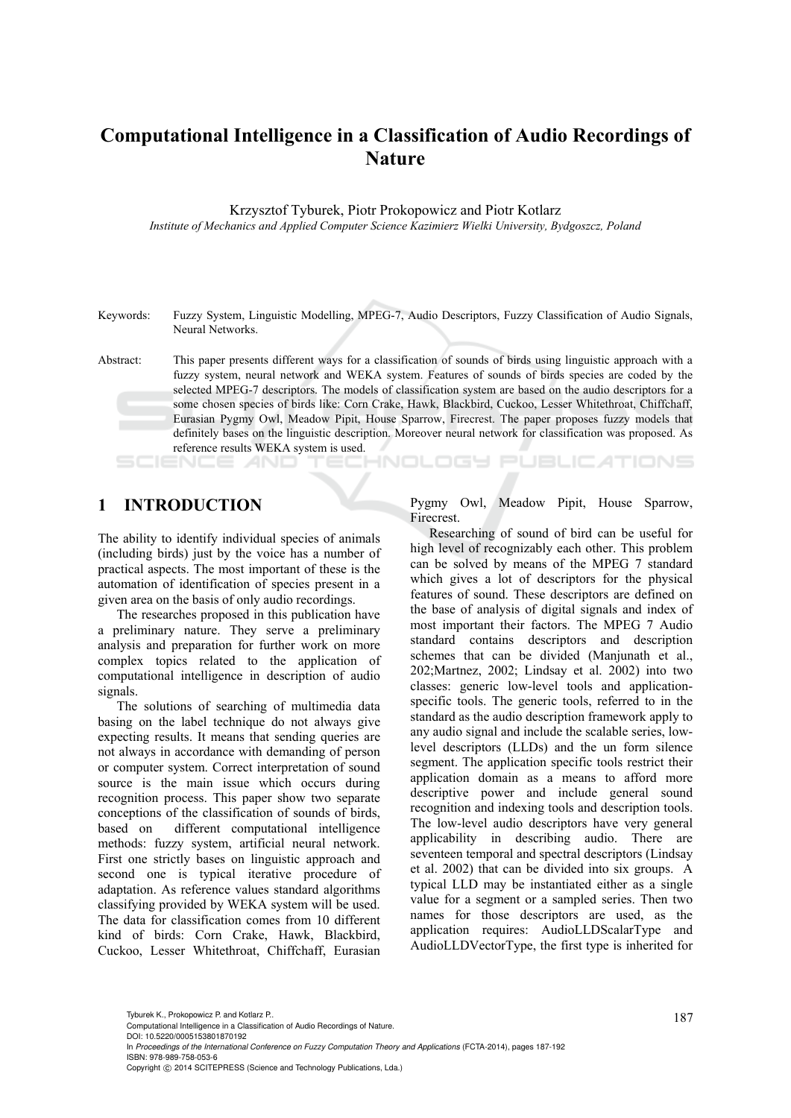# **Computational Intelligence in a Classification of Audio Recordings of Nature**

Krzysztof Tyburek, Piotr Prokopowicz and Piotr Kotlarz *Institute of Mechanics and Applied Computer Science Kazimierz Wielki University, Bydgoszcz, Poland* 

Keywords: Fuzzy System, Linguistic Modelling, MPEG-7, Audio Descriptors, Fuzzy Classification of Audio Signals, Neural Networks.

Abstract: This paper presents different ways for a classification of sounds of birds using linguistic approach with a fuzzy system, neural network and WEKA system. Features of sounds of birds species are coded by the selected MPEG-7 descriptors. The models of classification system are based on the audio descriptors for a some chosen species of birds like: Corn Crake, Hawk, Blackbird, Cuckoo, Lesser Whitethroat, Chiffchaff, Eurasian Pygmy Owl, Meadow Pipit, House Sparrow, Firecrest. The paper proposes fuzzy models that definitely bases on the linguistic description. Moreover neural network for classification was proposed. As reference results WEKA system is used.

### **1 INTRODUCTION**

The ability to identify individual species of animals (including birds) just by the voice has a number of practical aspects. The most important of these is the automation of identification of species present in a given area on the basis of only audio recordings.

The researches proposed in this publication have a preliminary nature. They serve a preliminary analysis and preparation for further work on more complex topics related to the application of computational intelligence in description of audio signals.

The solutions of searching of multimedia data basing on the label technique do not always give expecting results. It means that sending queries are not always in accordance with demanding of person or computer system. Correct interpretation of sound source is the main issue which occurs during recognition process. This paper show two separate conceptions of the classification of sounds of birds, based on different computational intelligence methods: fuzzy system, artificial neural network. First one strictly bases on linguistic approach and second one is typical iterative procedure of adaptation. As reference values standard algorithms classifying provided by WEKA system will be used. The data for classification comes from 10 different kind of birds: Corn Crake, Hawk, Blackbird, Cuckoo, Lesser Whitethroat, Chiffchaff, Eurasian Pygmy Owl, Meadow Pipit, House Sparrow, Firecrest.

INOLOGY PUBLIC ATIONS

Researching of sound of bird can be useful for high level of recognizably each other. This problem can be solved by means of the MPEG 7 standard which gives a lot of descriptors for the physical features of sound. These descriptors are defined on the base of analysis of digital signals and index of most important their factors. The MPEG 7 Audio standard contains descriptors and description schemes that can be divided (Manjunath et al., 202;Martnez, 2002; Lindsay et al. 2002) into two classes: generic low-level tools and applicationspecific tools. The generic tools, referred to in the standard as the audio description framework apply to any audio signal and include the scalable series, lowlevel descriptors (LLDs) and the un form silence segment. The application specific tools restrict their application domain as a means to afford more descriptive power and include general sound recognition and indexing tools and description tools. The low-level audio descriptors have very general applicability in describing audio. There are seventeen temporal and spectral descriptors (Lindsay et al. 2002) that can be divided into six groups. A typical LLD may be instantiated either as a single value for a segment or a sampled series. Then two names for those descriptors are used, as the application requires: AudioLLDScalarType and AudioLLDVectorType, the first type is inherited for

Tyburek K., Prokopowicz P. and Kotlarz P..<br>Computational Intelligence in a Classification of Audio Recordings of Nature. DOI: 10.5220/0005153801870192

In *Proceedings of the International Conference on Fuzzy Computation Theory and Applications* (FCTA-2014), pages 187-192 ISBN: 978-989-758-053-6

Copyright © 2014 SCITEPRESS (Science and Technology Publications, Lda.)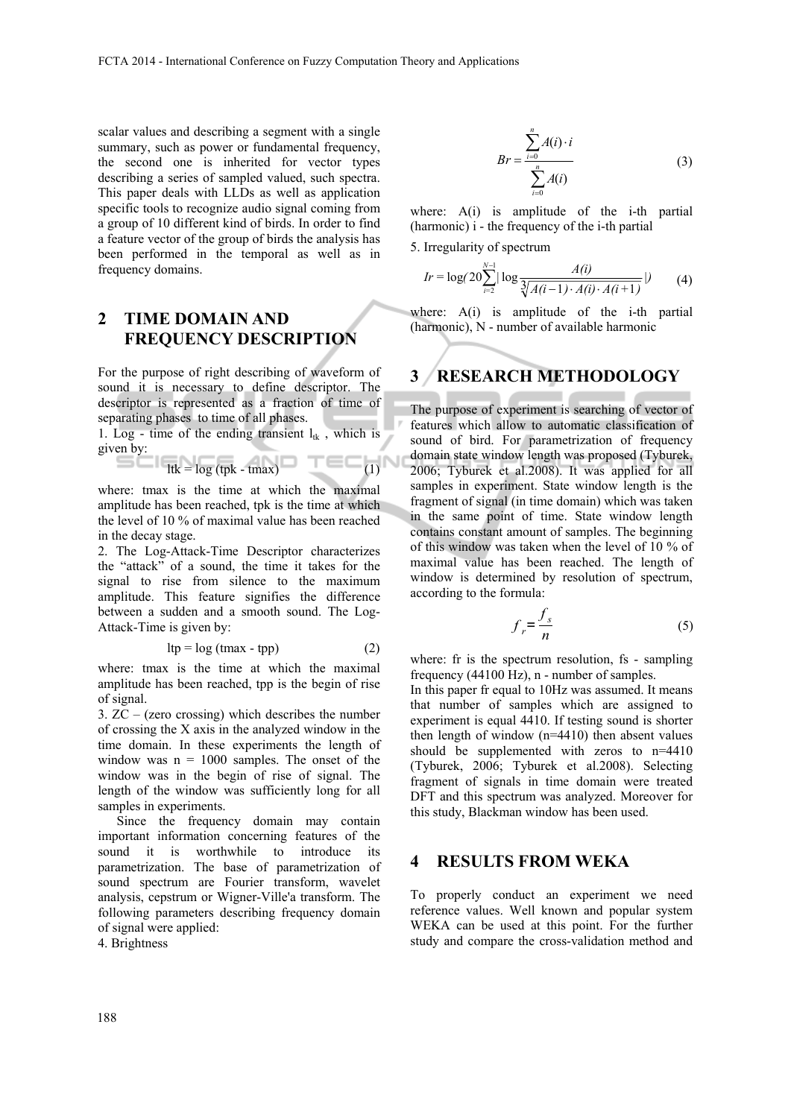scalar values and describing a segment with a single summary, such as power or fundamental frequency, the second one is inherited for vector types describing a series of sampled valued, such spectra. This paper deals with LLDs as well as application specific tools to recognize audio signal coming from a group of 10 different kind of birds. In order to find a feature vector of the group of birds the analysis has been performed in the temporal as well as in frequency domains.

# **2 TIME DOMAIN AND FREQUENCY DESCRIPTION**

For the purpose of right describing of waveform of sound it is necessary to define descriptor. The descriptor is represented as a fraction of time of separating phases to time of all phases.

1. Log - time of the ending transient  $l_{tk}$ , which is given by:

$$
Itk = log (tpk - tmax)
$$
 (1)

where: tmax is the time at which the maximal amplitude has been reached, tpk is the time at which the level of 10 % of maximal value has been reached in the decay stage.

2. The Log-Attack-Time Descriptor characterizes the "attack" of a sound, the time it takes for the signal to rise from silence to the maximum amplitude. This feature signifies the difference between a sudden and a smooth sound. The Log-Attack-Time is given by:

$$
ltp = log (tmax - tpp)
$$
 (2)

where: tmax is the time at which the maximal amplitude has been reached, tpp is the begin of rise of signal.

3. ZC – (zero crossing) which describes the number of crossing the X axis in the analyzed window in the time domain. In these experiments the length of window was  $n = 1000$  samples. The onset of the window was in the begin of rise of signal. The length of the window was sufficiently long for all samples in experiments.

Since the frequency domain may contain important information concerning features of the sound it is worthwhile to introduce its parametrization. The base of parametrization of sound spectrum are Fourier transform, wavelet analysis, cepstrum or Wigner-Ville'a transform. The following parameters describing frequency domain of signal were applied:

4. Brightness

$$
Br = \frac{\sum_{i=0}^{n} A(i) \cdot i}{\sum_{i=0}^{n} A(i)}
$$
 (3)

where: A(i) is amplitude of the i-th partial (harmonic) i - the frequency of the i-th partial

5. Irregularity of spectrum

$$
Ir = \log(20 \sum_{i=2}^{N-1} |\log \frac{A(i)}{\sqrt[3]{A(i-1) \cdot A(i) \cdot A(i+1)}}|)
$$
(4)

where: A(i) is amplitude of the i-th partial (harmonic), N - number of available harmonic

### **3 RESEARCH METHODOLOGY**

The purpose of experiment is searching of vector of features which allow to automatic classification of sound of bird. For parametrization of frequency domain state window length was proposed (Tyburek, 2006; Tyburek et al.2008). It was applied for all samples in experiment. State window length is the fragment of signal (in time domain) which was taken in the same point of time. State window length contains constant amount of samples. The beginning of this window was taken when the level of 10 % of maximal value has been reached. The length of window is determined by resolution of spectrum, according to the formula:

$$
f_r = \frac{f_s}{n} \tag{5}
$$

where: fr is the spectrum resolution, fs - sampling frequency (44100 Hz), n - number of samples.

In this paper fr equal to 10Hz was assumed. It means that number of samples which are assigned to experiment is equal 4410. If testing sound is shorter then length of window (n=4410) then absent values should be supplemented with zeros to n=4410 (Tyburek, 2006; Tyburek et al.2008). Selecting fragment of signals in time domain were treated DFT and this spectrum was analyzed. Moreover for this study, Blackman window has been used.

#### **4 RESULTS FROM WEKA**

To properly conduct an experiment we need reference values. Well known and popular system WEKA can be used at this point. For the further study and compare the cross-validation method and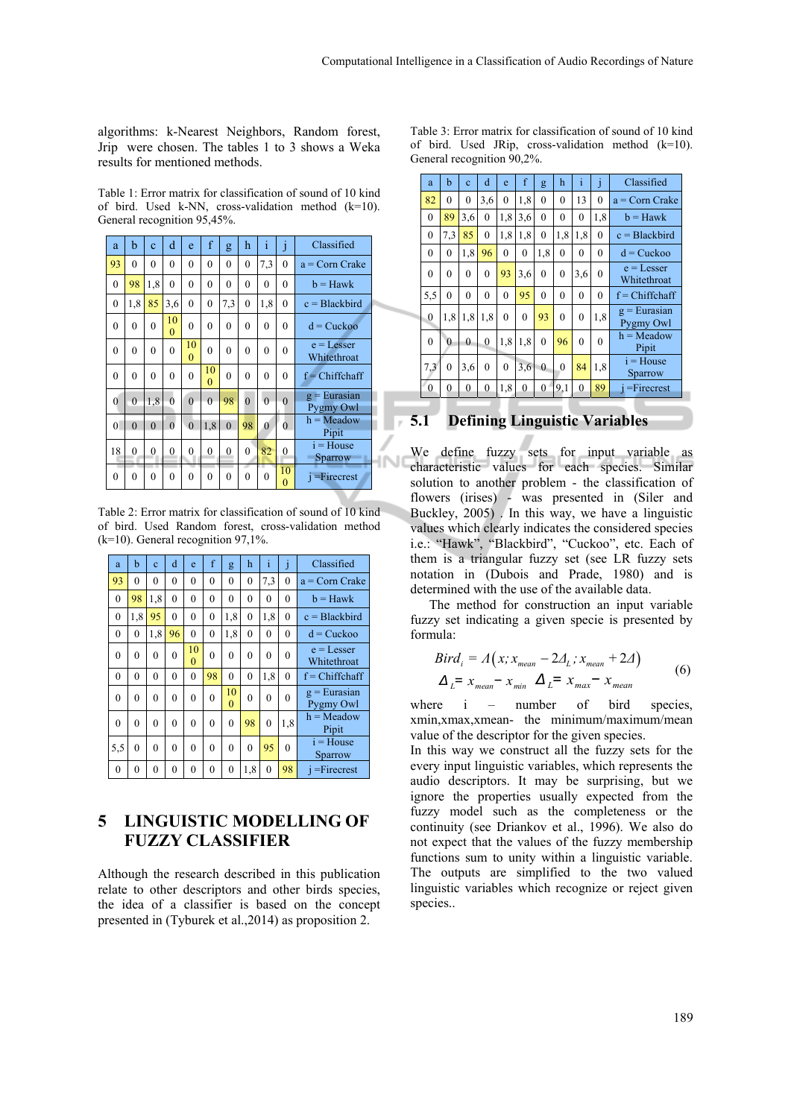algorithms: k-Nearest Neighbors, Random forest, Jrip were chosen. The tables 1 to 3 shows a Weka results for mentioned methods.

Table 1: Error matrix for classification of sound of 10 kind of bird. Used k-NN, cross-validation method (k=10). General recognition 95,45%.

| a              | b              | $\mathbf{c}$   | d                    | e              | f                | g        | h              | i            | j                  | Classified                  |
|----------------|----------------|----------------|----------------------|----------------|------------------|----------|----------------|--------------|--------------------|-----------------------------|
| 93             | $\theta$       | $\theta$       | $\theta$             | $\theta$       | $\overline{0}$   | $\theta$ | $\overline{0}$ | 7,3          | $\overline{0}$     | $a = Corn$ Crake            |
| $\theta$       | 98             | 1.8            | $\overline{0}$       | $\theta$       | $\overline{0}$   | $\theta$ | $\theta$       | $\mathbf{0}$ | $\overline{0}$     | $b =$ Hawk                  |
| $\theta$       | 1.8            | 85             | 3,6                  | $\theta$       | $\mathbf{0}$     | 7,3      | $\mathbf{0}$   | 1,8          | $\overline{0}$     | $c = Blackbird$             |
| $\theta$       | $\theta$       | $\overline{0}$ | 10<br>$\overline{0}$ | $\overline{0}$ | $\mathbf{0}$     | $\theta$ | $\theta$       | $\mathbf{0}$ | $\overline{0}$     | $d = Cuckoo$                |
| $\theta$       | $\theta$       | $\theta$       | $\theta$             | 10<br>$\theta$ | $\overline{0}$   | 0        | 0              | $\mathbf{0}$ | $\mathbf{0}$       | $e =$ Lesser<br>Whitethroat |
| $\theta$       | $\theta$       | $\theta$       | $\theta$             | $\theta$       | 10<br>$\theta$   | $\theta$ | $\theta$       | $\theta$     | $\theta$           | $f$ = Chiffchaff            |
| $\overline{0}$ | $\overline{0}$ | 1.8            | $\overline{0}$       | $\theta$       | $\theta$         | 98       | $\overline{0}$ | $\theta$     | $\theta$           | $g = Eurasian$<br>Pygmy Owl |
| $\theta$       | $\theta$       | $\theta$       | $\theta$             | $\theta$       | 1,8              | $\theta$ | 98             | $\mathbf{0}$ | $\mathbf{0}$       | $h = Meadow$<br>Pipit       |
| 18             | $\overline{0}$ | 0              | $\overline{0}$       | 0              | $\boldsymbol{0}$ | 0        | $\overline{0}$ | 82           | $\mathbf{0}$       | $i = House$<br>Sparrow      |
| 0              | $\mathbf{0}$   | $\overline{0}$ | 0                    | $\overline{0}$ | $\mathbf{0}$     | $\theta$ | $\overline{0}$ | $\mathbf{0}$ | 10<br>$\mathbf{0}$ | $i =$ Firecrest             |

Table 2: Error matrix for classification of sound of 10 kind of bird. Used Random forest, cross-validation method (k=10). General recognition 97,1%.

| a        | h        | $\mathbf{c}$ | d        | e              | f            | g              | h              | i              | $\mathbf{I}$ | Classified                  |
|----------|----------|--------------|----------|----------------|--------------|----------------|----------------|----------------|--------------|-----------------------------|
| 93       | $\theta$ | $\theta$     | $\theta$ | 0              | $\theta$     | $\theta$       | $\theta$       | 7.3            | $\theta$     | $a = Corn$ Crake            |
| $\theta$ | 98       | 1,8          | 0        | 0              | $\theta$     | $\theta$       | $\mathbf{0}$   | $\overline{0}$ | 0            | $b =$ Hawk                  |
| $\theta$ | 1,8      | 95           | $\theta$ | $\theta$       | $\mathbf{0}$ | 1,8            | $\overline{0}$ | 1,8            | $\theta$     | $c = Blackbird$             |
| $\theta$ | 0        | 1,8          | 96       | $\overline{0}$ | $\mathbf{0}$ | 1,8            | $\overline{0}$ | $\theta$       | $\theta$     | $d = Cuckoo$                |
| $\theta$ | $\theta$ | $\theta$     | $\theta$ | 10<br>$\theta$ | $\theta$     | $\theta$       | $\theta$       | $\theta$       | $\theta$     | $e =$ Lesser<br>Whitethroat |
| $\theta$ | $\theta$ | $\mathbf{0}$ | $\theta$ | $\theta$       | 98           | $\theta$       | $\overline{0}$ | 1.8            | $\theta$     | $f =$ Chiffchaff            |
| $\theta$ | $\theta$ | $\theta$     | $\theta$ | $\theta$       | $\theta$     | 10<br>$\theta$ | $\theta$       | $\theta$       | $\theta$     | $g = Eurasian$<br>Pygmy Owl |
| $\theta$ | $\theta$ | $\theta$     | $\theta$ | 0              | $\theta$     | $\theta$       | 98             | $\theta$       | 1.8          | $h = Meadow$<br>Pipit       |
| 5,5      | $\theta$ | $\theta$     | $\theta$ | 0              | $\theta$     | $\theta$       | $\theta$       | 95             | $\theta$     | $i = House$<br>Sparrow      |
| $\theta$ | $\theta$ | 0            | $\theta$ | 0              | $\theta$     | $\theta$       | 1,8            | $\theta$       | 98           | $i =$ Firecrest             |

# **5 LINGUISTIC MODELLING OF FUZZY CLASSIFIER**

Although the research described in this publication relate to other descriptors and other birds species, the idea of a classifier is based on the concept presented in (Tyburek et al.,2014) as proposition 2.

Table 3: Error matrix for classification of sound of 10 kind of bird. Used JRip, cross-validation method  $(k=10)$ . General recognition 90,2%.

| a            | b                | $\ddot{c}$   | d            | e            | f            | g              | h            | i        | j            | Classified                  |
|--------------|------------------|--------------|--------------|--------------|--------------|----------------|--------------|----------|--------------|-----------------------------|
| 82           | $\theta$         | $\mathbf{0}$ | 3,6          | $\mathbf{0}$ | 1.8          | $\theta$       | $\theta$     | 13       | $\mathbf{0}$ | $a = Com Crake$             |
| 0            | 89               | 3,6          | $\mathbf{0}$ | 1,8          | 3,6          | $\mathbf{0}$   | $\mathbf{0}$ | 0        | 1,8          | $b =$ Hawk                  |
| $\mathbf{0}$ | 7,3              | 85           | $\mathbf{0}$ | 1.8          | 1,8          | $\overline{0}$ | 1.8          | 1.8      | $\mathbf{0}$ | $c = Blackbird$             |
| $\theta$     | $\boldsymbol{0}$ | 1,8          | 96           | $\mathbf{0}$ | 0            | 1.8            | 0            | 0        | $\mathbf{0}$ | $d = Cuckoo$                |
| 0            | $\theta$         | $\theta$     | $\theta$     | 93           | 3,6          | $\theta$       | $\theta$     | 3,6      | $\mathbf{0}$ | $e =$ Lesser<br>Whitethroat |
| 5,5          | $\theta$         | $\mathbf{0}$ | $\theta$     | $\theta$     | 95           | $\theta$       | $\theta$     | $\theta$ | $\mathbf{0}$ | $f =$ Chiffchaff            |
| $\mathbf{0}$ | 1,8              | 1.8          | 1.8          | $\mathbf{0}$ | $\mathbf{0}$ | 93             | $\theta$     | 0        | 1,8          | $g = Eurasian$<br>Pygmy Owl |
| $\theta$     | $\theta$         | $\theta$     | $\mathbf{0}$ | 1.8          | 1,8          | $\theta$       | 96           | $\theta$ | $\mathbf{0}$ | $h = Meadow$<br>Pipit       |
| 7,3          | $\theta$         | 3,6          | $\mathbf{0}$ | $\theta$     | 3,6          | $\theta$       | $\theta$     | 84       | 1,8          | $i = House$<br>Sparrow      |
| 0            | 0                | $\mathbf{0}$ | $\mathbf{0}$ | 1,8          | $\mathbf{0}$ | $\mathbf{0}$   | 9,1          | $\bf{0}$ | 89           | $=$ Firecrest               |

### **5.1 Defining Linguistic Variables**

We define fuzzy sets for input variable as characteristic values for each species. Similar solution to another problem - the classification of flowers (irises) - was presented in (Siler and Buckley, 2005) . In this way, we have a linguistic values which clearly indicates the considered species i.e.: "Hawk", "Blackbird", "Cuckoo", etc. Each of them is a triangular fuzzy set (see LR fuzzy sets notation in (Dubois and Prade, 1980) and is determined with the use of the available data.

The method for construction an input variable fuzzy set indicating a given specie is presented by formula:

$$
Bird_i = A(x; x_{mean} - 2A_L; x_{mean} + 2A)
$$
  
\n
$$
\Delta_L = x_{mean} - x_{min} \Delta_L = x_{max} - x_{mean}
$$
 (6)

where i – number of bird species, xmin,xmax,xmean- the minimum/maximum/mean value of the descriptor for the given species.

In this way we construct all the fuzzy sets for the every input linguistic variables, which represents the audio descriptors. It may be surprising, but we ignore the properties usually expected from the fuzzy model such as the completeness or the continuity (see Driankov et al., 1996). We also do not expect that the values of the fuzzy membership functions sum to unity within a linguistic variable. The outputs are simplified to the two valued linguistic variables which recognize or reject given species..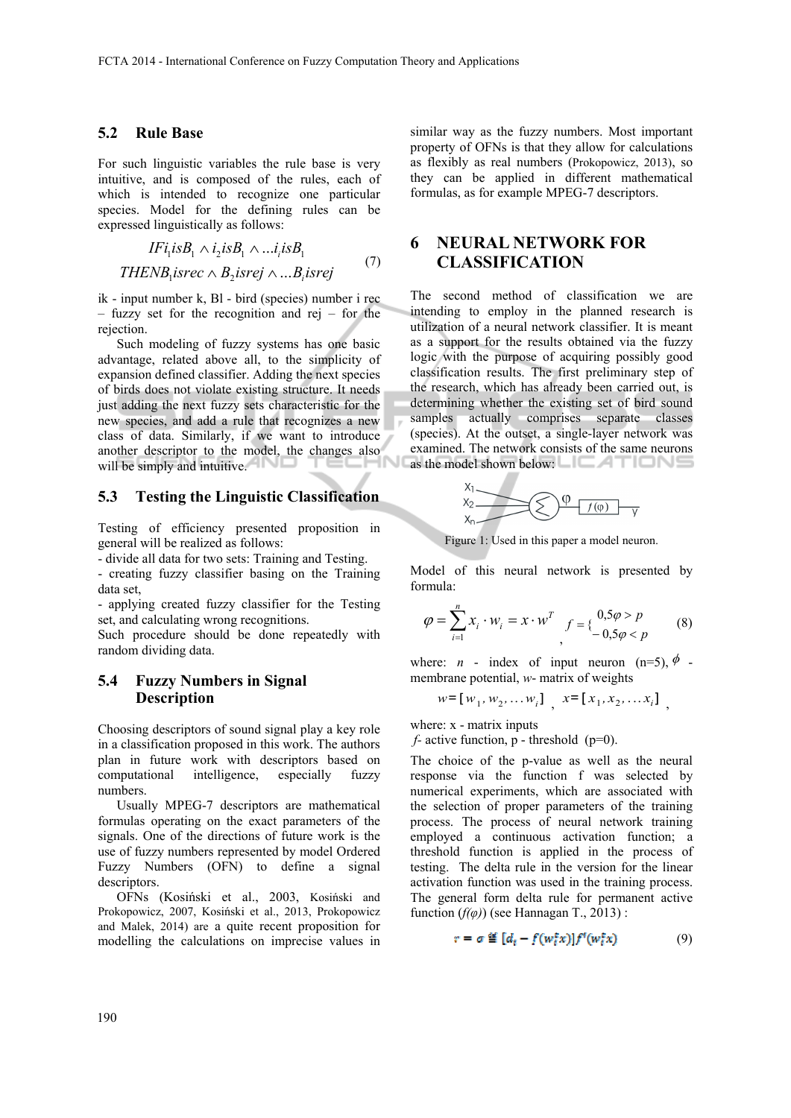#### **5.2 Rule Base**

For such linguistic variables the rule base is very intuitive, and is composed of the rules, each of which is intended to recognize one particular species. Model for the defining rules can be expressed linguistically as follows:

 $IFi<sub>1</sub> isB<sub>1</sub> \wedge i<sub>2</sub> isB<sub>1</sub> \wedge ... i<sub>i</sub> isB<sub>1</sub>$  $\mathit{THENB}_1 \mathit{isrec} \wedge B_2 \mathit{isrej} \wedge ... B_i \mathit{isrej}$ (7)

ik - input number k, Bl - bird (species) number i rec – fuzzy set for the recognition and rej – for the rejection.

Such modeling of fuzzy systems has one basic advantage, related above all, to the simplicity of expansion defined classifier. Adding the next species of birds does not violate existing structure. It needs just adding the next fuzzy sets characteristic for the new species, and add a rule that recognizes a new class of data. Similarly, if we want to introduce another descriptor to the model, the changes also will be simply and intuitive.

#### **5.3 Testing the Linguistic Classification**

Testing of efficiency presented proposition in general will be realized as follows:

- divide all data for two sets: Training and Testing.

- creating fuzzy classifier basing on the Training data set,

- applying created fuzzy classifier for the Testing set, and calculating wrong recognitions.

Such procedure should be done repeatedly with random dividing data.

#### **5.4 Fuzzy Numbers in Signal Description**

Choosing descriptors of sound signal play a key role in a classification proposed in this work. The authors plan in future work with descriptors based on computational intelligence, especially fuzzy numbers.

Usually MPEG-7 descriptors are mathematical formulas operating on the exact parameters of the signals. One of the directions of future work is the use of fuzzy numbers represented by model Ordered Fuzzy Numbers (OFN) to define a signal descriptors.

OFNs (Kosiński et al., 2003, Kosiński and Prokopowicz, 2007, Kosiński et al., 2013, Prokopowicz and Malek, 2014) are a quite recent proposition for modelling the calculations on imprecise values in

similar way as the fuzzy numbers. Most important property of OFNs is that they allow for calculations as flexibly as real numbers (Prokopowicz, 2013), so they can be applied in different mathematical formulas, as for example MPEG-7 descriptors.

# **6 NEURAL NETWORK FOR CLASSIFICATION**

The second method of classification we are intending to employ in the planned research is utilization of a neural network classifier. It is meant as a support for the results obtained via the fuzzy logic with the purpose of acquiring possibly good classification results. The first preliminary step of the research, which has already been carried out, is determining whether the existing set of bird sound samples actually comprises separate classes (species). At the outset, a single-layer network was examined. The network consists of the same neurons as the model shown below:  $\Box$   $\Box$   $\Box$   $\Box$   $\Box$ 



Figure 1: Used in this paper a model neuron.

Model of this neural network is presented by formula:

$$
\varphi = \sum_{i=1}^{n} x_i \cdot w_i = x \cdot w^T \int_{0}^{0.5\varphi > p} f(x_i - 0.5\varphi < p) \tag{8}
$$

where: *n* - index of input neuron (n=5),  $\phi$  membrane potential, *w*- matrix of weights

$$
w = [w_1, w_2, ..., w_i]
$$
,  $x = [x_1, x_2, ..., x_i]$ ,

where: x - matrix inputs

*f-* active function, p - threshold (p=0).

The choice of the p-value as well as the neural response via the function f was selected by numerical experiments, which are associated with the selection of proper parameters of the training process. The process of neural network training employed a continuous activation function; a threshold function is applied in the process of testing. The delta rule in the version for the linear activation function was used in the training process. The general form delta rule for permanent active function  $(f(\varphi))$  (see Hannagan T., 2013) :

$$
r = \sigma \stackrel{\text{df}}{=} [d_t - f(w_t^{\text{f}} x)] f^t(w_t^{\text{f}} x) \tag{9}
$$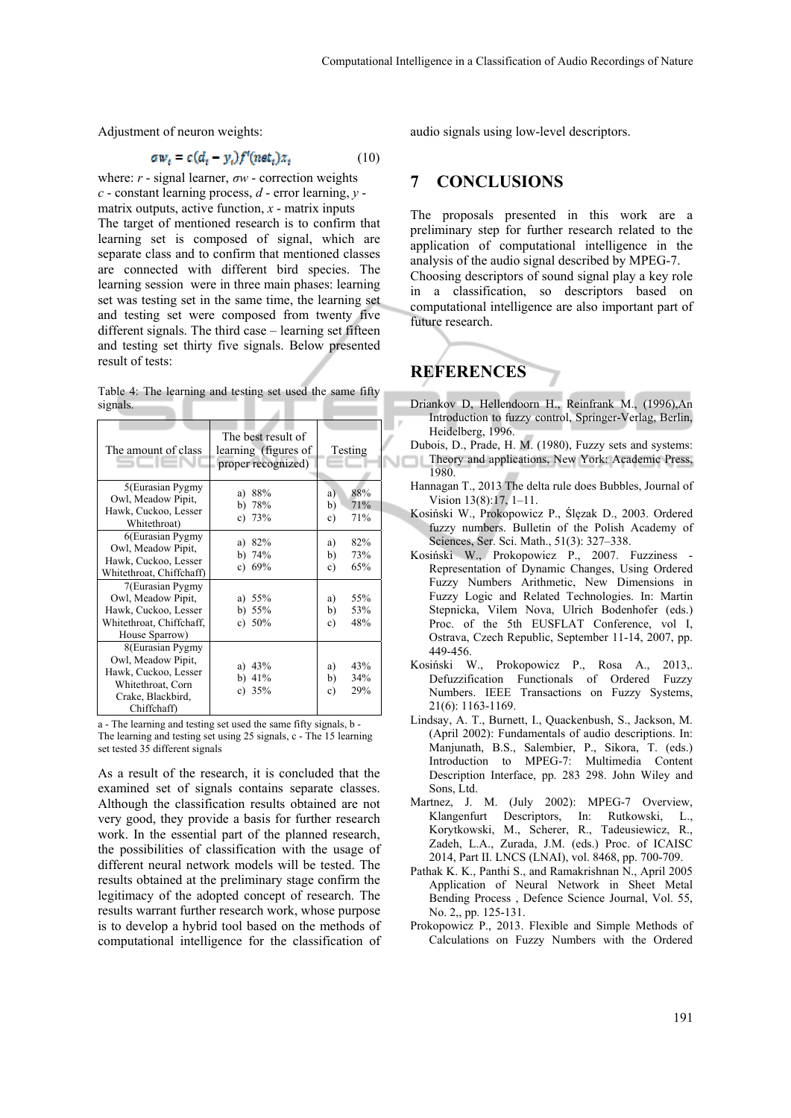Adjustment of neuron weights:

$$
\sigma w_t = c(d_t - y_t) f^t(n \varepsilon t_t) x_t \tag{10}
$$

where: *r* - signal learner, *σw* - correction weights *c* - constant learning process, *d* - error learning, *y* matrix outputs, active function, *x* - matrix inputs The target of mentioned research is to confirm that learning set is composed of signal, which are separate class and to confirm that mentioned classes are connected with different bird species. The learning session were in three main phases: learning set was testing set in the same time, the learning set and testing set were composed from twenty five different signals. The third case – learning set fifteen and testing set thirty five signals. Below presented result of tests:

Table 4: The learning and testing set used the same fifty signals.

| The amount of class                                                                                                     | The best result of<br>learning (figures of<br>proper recognized) | Testing                             |
|-------------------------------------------------------------------------------------------------------------------------|------------------------------------------------------------------|-------------------------------------|
| 5(Eurasian Pygmy<br>Owl, Meadow Pipit,<br>Hawk, Cuckoo, Lesser<br>Whitethroat)                                          | 88%<br>a)<br>78%<br>b).<br>c) $73%$                              | 88%<br>a)<br>71%<br>b)<br>71%<br>c) |
| 6(Eurasian Pygmy<br>Owl, Meadow Pipit,<br>Hawk, Cuckoo, Lesser<br>Whitethroat, Chiffchaff)                              | 82%<br>a)<br>b) $74%$<br>c) $69%$                                | 82%<br>a)<br>73%<br>b)<br>65%<br>c) |
| 7(Eurasian Pygmy<br>Owl, Meadow Pipit,<br>Hawk, Cuckoo, Lesser<br>Whitethroat, Chiffchaff,<br>House Sparrow)            | a) $55%$<br>b) $55%$<br>c) $50\%$                                | 55%<br>a)<br>53%<br>b)<br>48%<br>c) |
| 8(Eurasian Pygmy<br>Owl, Meadow Pipit,<br>Hawk, Cuckoo, Lesser<br>Whitethroat, Corn<br>Crake, Blackbird,<br>Chiffchaff) | a) $43%$<br>b) $41\%$<br>c) $35%$                                | 43%<br>a)<br>b)<br>34%<br>29%<br>c) |

a - The learning and testing set used the same fifty signals, b - The learning and testing set using 25 signals, c - The 15 learning set tested 35 different signals

As a result of the research, it is concluded that the examined set of signals contains separate classes. Although the classification results obtained are not very good, they provide a basis for further research work. In the essential part of the planned research, the possibilities of classification with the usage of different neural network models will be tested. The results obtained at the preliminary stage confirm the legitimacy of the adopted concept of research. The results warrant further research work, whose purpose is to develop a hybrid tool based on the methods of computational intelligence for the classification of audio signals using low-level descriptors.

### **7 CONCLUSIONS**

The proposals presented in this work are a preliminary step for further research related to the application of computational intelligence in the analysis of the audio signal described by MPEG-7. Choosing descriptors of sound signal play a key role

in a classification, so descriptors based on computational intelligence are also important part of future research.

### **REFERENCES**

 $\mathbb{R}$ 

- Driankov D, Hellendoorn H., Reinfrank M., (1996),An Introduction to fuzzy control, Springer-Verlag, Berlin, Heidelberg, 1996.
- Dubois, D., Prade, H. M. (1980), Fuzzy sets and systems: Theory and applications, New York: Academic Press, 1980.
	- Hannagan T., 2013 The delta rule does Bubbles, Journal of Vision 13(8):17, 1–11.
	- Kosiński W., Prokopowicz P., Ślęzak D., 2003. Ordered fuzzy numbers. Bulletin of the Polish Academy of Sciences, Ser. Sci. Math., 51(3): 327–338.
	- Kosiński W., Prokopowicz P., 2007. Fuzziness Representation of Dynamic Changes, Using Ordered Fuzzy Numbers Arithmetic, New Dimensions in Fuzzy Logic and Related Technologies. In: Martin Stepnicka, Vilem Nova, Ulrich Bodenhofer (eds.) Proc. of the 5th EUSFLAT Conference, vol I, Ostrava, Czech Republic, September 11-14, 2007, pp. 449-456.
	- Kosiński W., Prokopowicz P., Rosa A., 2013,. Defuzzification Functionals of Ordered Fuzzy Numbers. IEEE Transactions on Fuzzy Systems, 21(6): 1163-1169.
	- Lindsay, A. T., Burnett, I., Quackenbush, S., Jackson, M. (April 2002): Fundamentals of audio descriptions. In: Manjunath, B.S., Salembier, P., Sikora, T. (eds.) Introduction to MPEG-7: Multimedia Content Description Interface, pp. 283 298. John Wiley and Sons, Ltd.
	- Martnez, J. M. (July 2002): MPEG-7 Overview, Klangenfurt Descriptors, In: Rutkowski, L., Korytkowski, M., Scherer, R., Tadeusiewicz, R., Zadeh, L.A., Zurada, J.M. (eds.) Proc. of ICAISC 2014, Part II. LNCS (LNAI), vol. 8468, pp. 700-709.
	- Pathak K. K., Panthi S., and Ramakrishnan N., April 2005 Application of Neural Network in Sheet Metal Bending Process , Defence Science Journal, Vol. 55, No. 2,, pp. 125-131.
	- Prokopowicz P., 2013. Flexible and Simple Methods of Calculations on Fuzzy Numbers with the Ordered